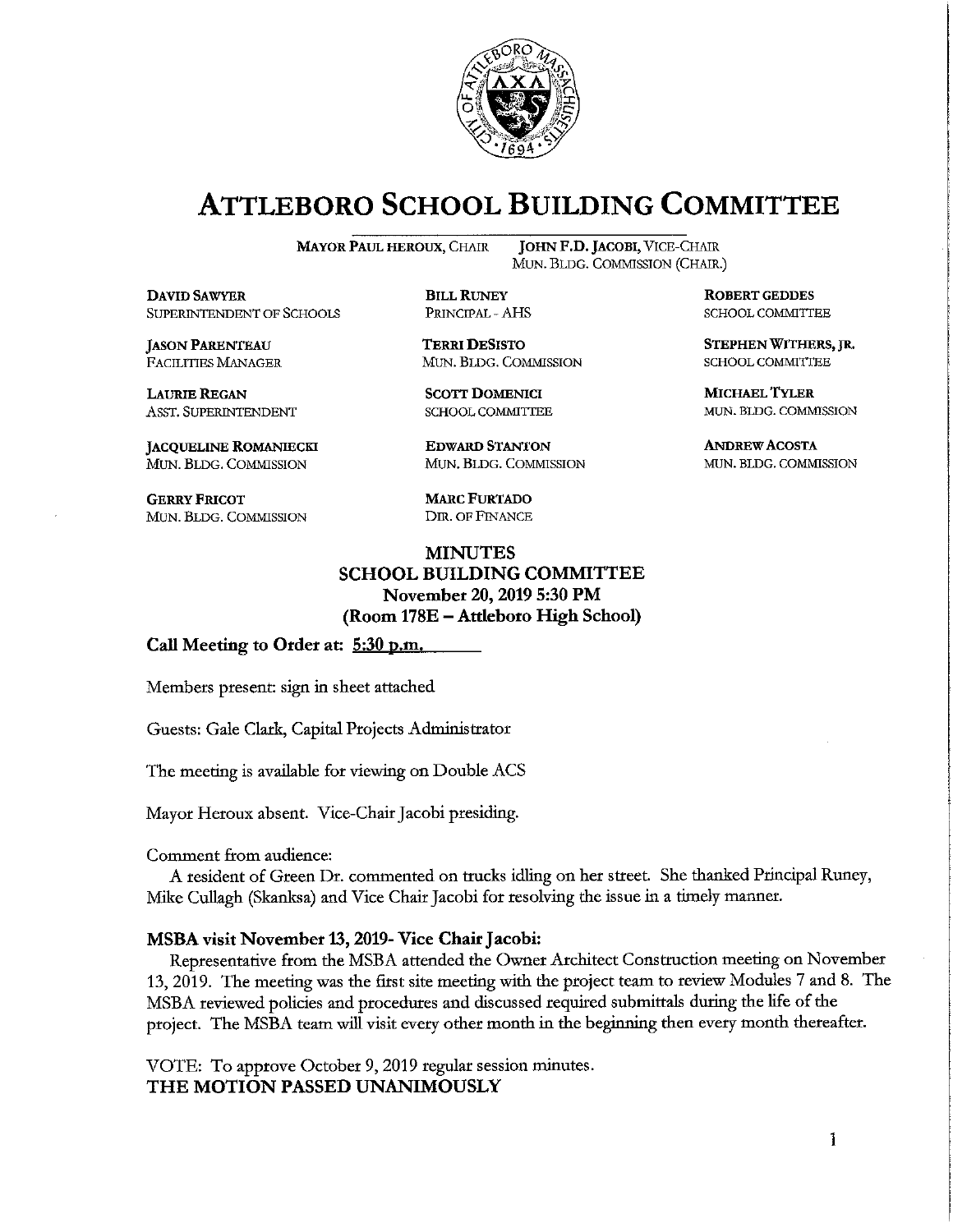

### **ATTLEBORO SCHOOL BUILDING COMMITTEE**

**MAYOR PAUL HEROUX, CHAIR** 

**DAVID SAWYER** SUPERINTENDENT OF SCHOOLS

**JASON PARENTEAU FACILITIES MANAGER** 

**LAURIE REGAN** ASST. SUPERINTENDENT

JACQUELINE ROMANIECKI MUN. BLDG. COMMISSION

**GERRY FRICOT** MUN. BLDG. COMMISSION

**JOHN F.D. JACOBI, VICE-CHAIR** MUN. BLDG. COMMISSION (CHAIR.)

**BILL RUNEY** PRINCIPAL - AHS

**TERRI DESISTO** MUN. BLDG. COMMISSION

**SCOTT DOMENICI** SCHOOL COMMITTEE

**EDWARD STANTON** MUN. BLDG. COMMISSION

**MARC FURTADO** DIR. OF FINANCE

#### **MINUTES SCHOOL BUILDING COMMITTEE** November 20, 2019 5:30 PM (Room 178E – Attleboro High School)

Call Meeting to Order at: 5:30 p.m.

Members present: sign in sheet attached

Guests: Gale Clark, Capital Projects Administrator

The meeting is available for viewing on Double ACS

Mayor Heroux absent. Vice-Chair Jacobi presiding.

Comment from audience:

A resident of Green Dr. commented on trucks idling on her street. She thanked Principal Runey, Mike Cullagh (Skanksa) and Vice Chair Jacobi for resolving the issue in a timely manner.

#### MSBA visit November 13, 2019- Vice Chair Jacobi:

Representative from the MSBA attended the Owner Architect Construction meeting on November 13, 2019. The meeting was the first site meeting with the project team to review Modules 7 and 8. The MSBA reviewed policies and procedures and discussed required submittals during the life of the project. The MSBA team will visit every other month in the beginning then every month thereafter.

VOTE: To approve October 9, 2019 regular session minutes. THE MOTION PASSED UNANIMOUSLY

**ROBERT GEDDES SCHOOL COMMITTEE** 

STEPHEN WITHERS, JR. **SCHOOL COMMITTEE** 

**MICHAEL TYLER** MUN. BLDG. COMMISSION

**ANDREW ACOSTA** MUN. BLDG. COMMISSION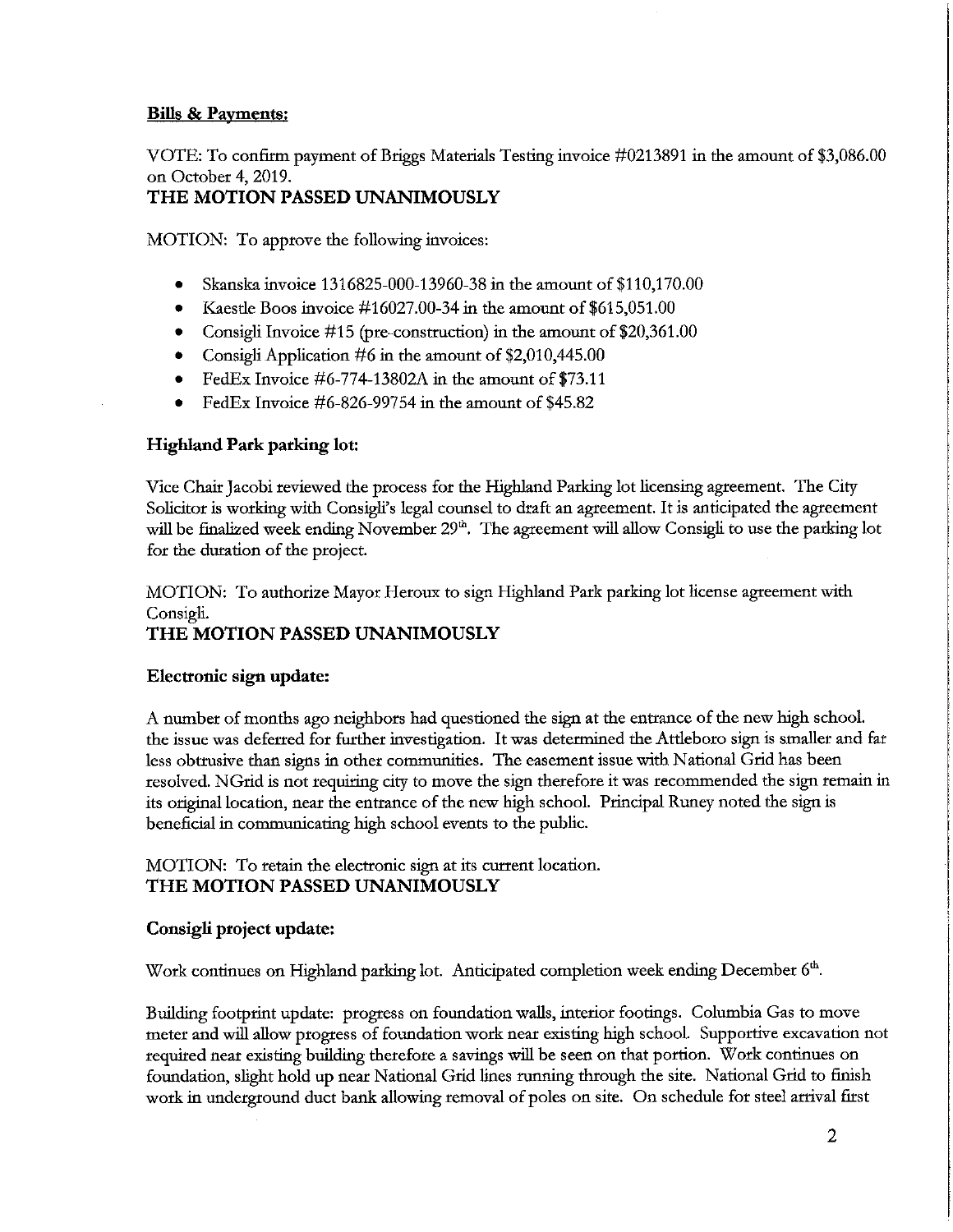#### **Bills & Payments:**

VOTE: To confirm payment of Briggs Materials Testing invoice #0213891 in the amount of \$3,086.00 on October 4, 2019.

#### THE MOTION PASSED UNANIMOUSLY

MOTION: To approve the following invoices:

- Skanska invoice 1316825-000-13960-38 in the amount of \$110,170.00  $\bullet$
- $\bullet$ Kaestle Boos invoice  $\#16027.00-34$  in the amount of \$615,051.00
- Consigli Invoice  $\#15$  (pre-construction) in the amount of \$20,361.00  $\bullet$
- Consigli Application #6 in the amount of  $$2,010,445.00$  $\bullet$
- FedEx Invoice  $\#6-774-13802A$  in the amount of \$73.11
- FedEx Invoice #6-826-99754 in the amount of \$45.82

#### **Highland Park parking lot:**

Vice Chair Jacobi reviewed the process for the Highland Parking lot licensing agreement. The City Solicitor is working with Consigli's legal counsel to draft an agreement. It is anticipated the agreement will be finalized week ending November 29<sup>th</sup>. The agreement will allow Consigli to use the parking lot for the duration of the project.

MOTION: To authorize Mayor Heroux to sign Highland Park parking lot license agreement with Consigli.

#### THE MOTION PASSED UNANIMOUSLY

#### Electronic sign update:

A number of months ago neighbors had questioned the sign at the entrance of the new high school. the issue was deferred for further investigation. It was determined the Attleboro sign is smaller and far less obtrusive than signs in other communities. The easement issue with National Grid has been resolved. NGrid is not requiring city to move the sign therefore it was recommended the sign remain in its original location, near the entrance of the new high school. Principal Runey noted the sign is beneficial in communicating high school events to the public.

MOTION: To retain the electronic sign at its current location. THE MOTION PASSED UNANIMOUSLY

#### Consigli project update:

Work continues on Highland parking lot. Anticipated completion week ending December 6th.

Building footprint update: progress on foundation walls, interior footings. Columbia Gas to move meter and will allow progress of foundation work near existing high school. Supportive excavation not required near existing building therefore a savings will be seen on that portion. Work continues on foundation, slight hold up near National Grid lines running through the site. National Grid to finish work in underground duct bank allowing removal of poles on site. On schedule for steel arrival first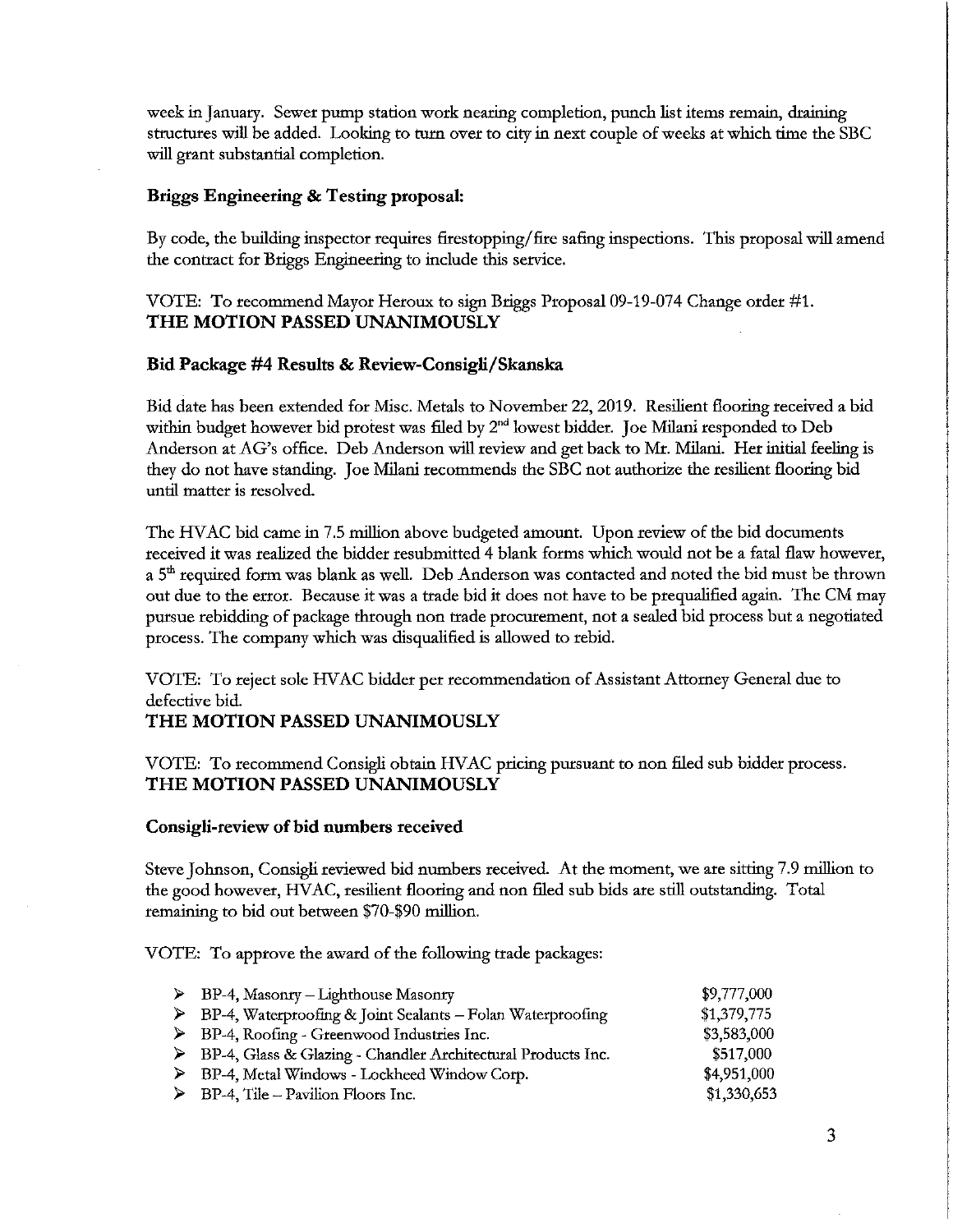week in January. Sewer pump station work nearing completion, punch list items remain, draining structures will be added. Looking to turn over to city in next couple of weeks at which time the SBC will grant substantial completion.

#### Briggs Engineering & Testing proposal:

By code, the building inspector requires firestopping/fire safing inspections. This proposal will amend the contract for Briggs Engineering to include this service.

#### VOTE: To recommend Mayor Heroux to sign Briggs Proposal 09-19-074 Change order #1. THE MOTION PASSED UNANIMOUSLY

#### Bid Package #4 Results & Review-Consigli/Skanska

Bid date has been extended for Misc. Metals to November 22, 2019. Resilient flooring received a bid within budget however bid protest was filed by 2<sup>nd</sup> lowest bidder. Joe Milani responded to Deb Anderson at AG's office. Deb Anderson will review and get back to Mr. Milani. Her initial feeling is they do not have standing. Joe Milani recommends the SBC not authorize the resilient flooring bid until matter is resolved.

The HVAC bid came in 7.5 million above budgeted amount. Upon review of the bid documents received it was realized the bidder resubmitted 4 blank forms which would not be a fatal flaw however, a 5<sup>th</sup> required form was blank as well. Deb Anderson was contacted and noted the bid must be thrown out due to the error. Because it was a trade bid it does not have to be prequalified again. The CM may pursue rebidding of package through non trade procurement, not a sealed bid process but a negotiated process. The company which was disqualified is allowed to rebid.

VOTE: To reject sole HVAC bidder per recommendation of Assistant Attorney General due to defective bid.

#### THE MOTION PASSED UNANIMOUSLY

VOTE: To recommend Consigli obtain HVAC pricing pursuant to non filed sub bidder process. THE MOTION PASSED UNANIMOUSLY

#### Consigli-review of bid numbers received

Steve Johnson, Consigli reviewed bid numbers received. At the moment, we are sitting 7.9 million to the good however, HVAC, resilient flooring and non filed sub bids are still outstanding. Total remaining to bid out between \$70-\$90 million.

VOTE: To approve the award of the following trade packages:

| $\triangleright$ BP-4, Masonry – Lighthouse Masonry                         | \$9,777,000 |
|-----------------------------------------------------------------------------|-------------|
| $\triangleright$ BP-4, Waterproofing & Joint Sealants – Folan Waterproofing | \$1,379,775 |
| $\triangleright$ BP-4, Roofing - Greenwood Industries Inc.                  | \$3,583,000 |
| > BP-4, Glass & Glazing - Chandler Architectural Products Inc.              | \$517,000   |
| > BP-4, Metal Windows - Lockheed Window Corp.                               | \$4,951,000 |
| $\triangleright$ BP-4, Tile – Pavilion Floors Inc.                          | \$1,330,653 |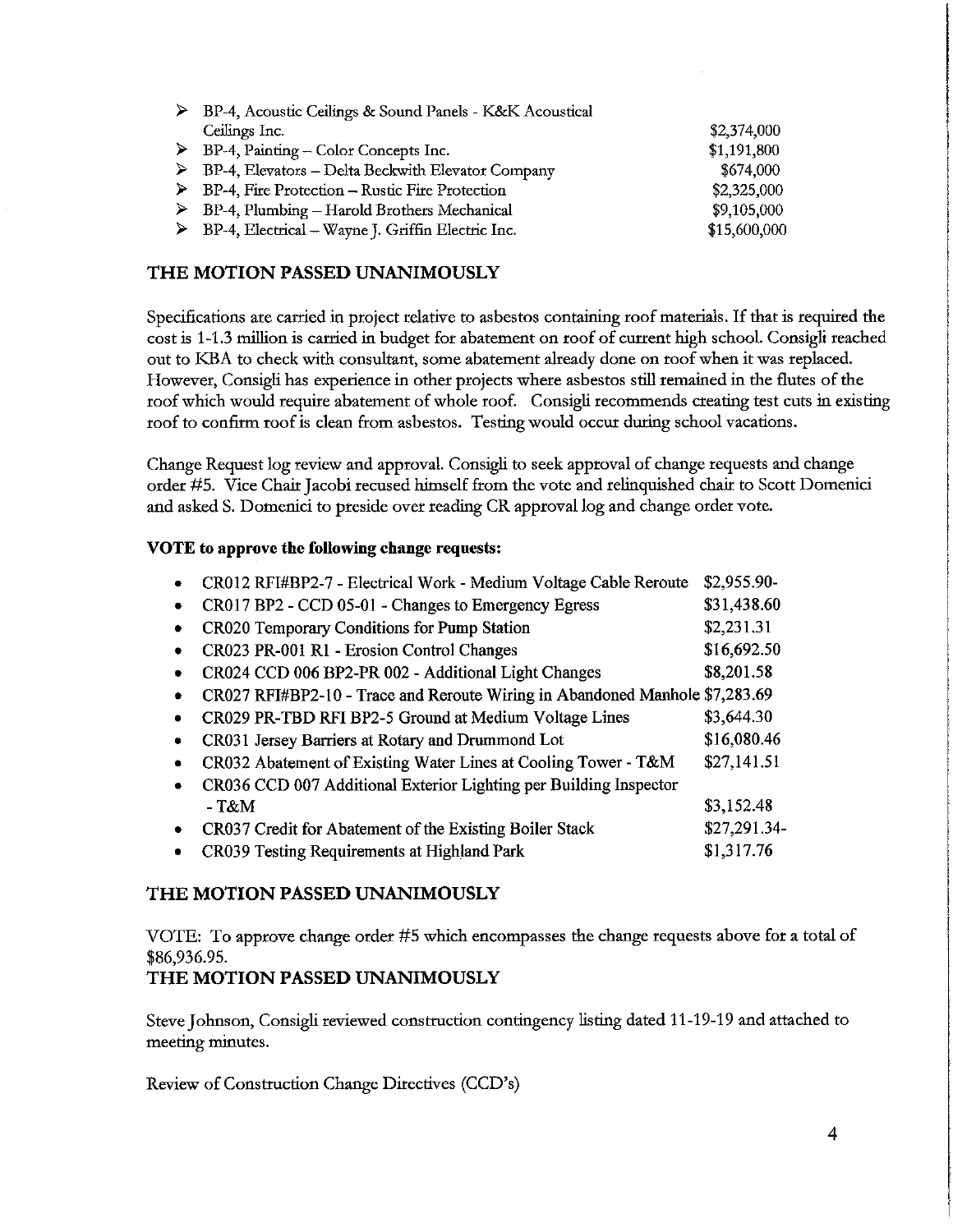| BP-4, Acoustic Ceilings & Sound Panels - K&K Acoustical            |              |
|--------------------------------------------------------------------|--------------|
| Ceilings Inc.                                                      | \$2,374,000  |
| $\triangleright$ BP-4, Painting – Color Concepts Inc.              | \$1,191,800  |
| $\triangleright$ BP-4, Elevators – Delta Beckwith Elevator Company | \$674,000    |
| $\triangleright$ BP-4, Fire Protection – Rustic Fire Protection    | \$2,325,000  |
| $\triangleright$ BP-4, Plumbing – Harold Brothers Mechanical       | \$9,105,000  |
| $\triangleright$ BP-4, Electrical – Wayne J. Griffin Electric Inc. | \$15,600,000 |

#### THE MOTION PASSED UNANIMOUSLY

Specifications are carried in project relative to asbestos containing roof materials. If that is required the cost is 1-1.3 million is carried in budget for abatement on roof of current high school. Consigli reached out to KBA to check with consultant, some abatement already done on roof when it was replaced. However, Consigli has experience in other projects where asbestos still remained in the flutes of the roof which would require abatement of whole roof. Consigli recommends creating test cuts in existing roof to confirm roof is clean from asbestos. Testing would occur during school vacations.

Change Request log review and approval. Consigli to seek approval of change requests and change order #5. Vice Chair Jacobi recused himself from the vote and relinquished chair to Scott Domenici and asked S. Domenici to preside over reading CR approval log and change order vote.

#### VOTE to approve the following change requests:

| CR012 RFI#BP2-7 - Electrical Work - Medium Voltage Cable Reroute            | \$2,955.90-  |
|-----------------------------------------------------------------------------|--------------|
| CR017 BP2 - CCD 05-01 - Changes to Emergency Egress                         | \$31,438.60  |
| CR020 Temporary Conditions for Pump Station                                 | \$2,231.31   |
| CR023 PR-001 R1 - Erosion Control Changes                                   | \$16,692.50  |
| CR024 CCD 006 BP2-PR 002 - Additional Light Changes                         | \$8,201.58   |
| CR027 RFI#BP2-10 - Trace and Reroute Wiring in Abandoned Manhole \$7,283.69 |              |
| CR029 PR-TBD RFI BP2-5 Ground at Medium Voltage Lines                       | \$3,644.30   |
| CR031 Jersey Barriers at Rotary and Drummond Lot                            | \$16,080.46  |
| CR032 Abatement of Existing Water Lines at Cooling Tower - T&M              | \$27,141.51  |
| CR036 CCD 007 Additional Exterior Lighting per Building Inspector           |              |
| $-T\&M$                                                                     | \$3,152.48   |
| CR037 Credit for Abatement of the Existing Boiler Stack                     | \$27,291.34- |
| CR039 Testing Requirements at Highland Park                                 | \$1,317.76   |
|                                                                             |              |

#### THE MOTION PASSED UNANIMOUSLY

VOTE: To approve change order #5 which encompasses the change requests above for a total of \$86,936.95.

#### THE MOTION PASSED UNANIMOUSLY

Steve Johnson, Consigli reviewed construction contingency listing dated 11-19-19 and attached to meeting minutes.

Review of Construction Change Directives (CCD's)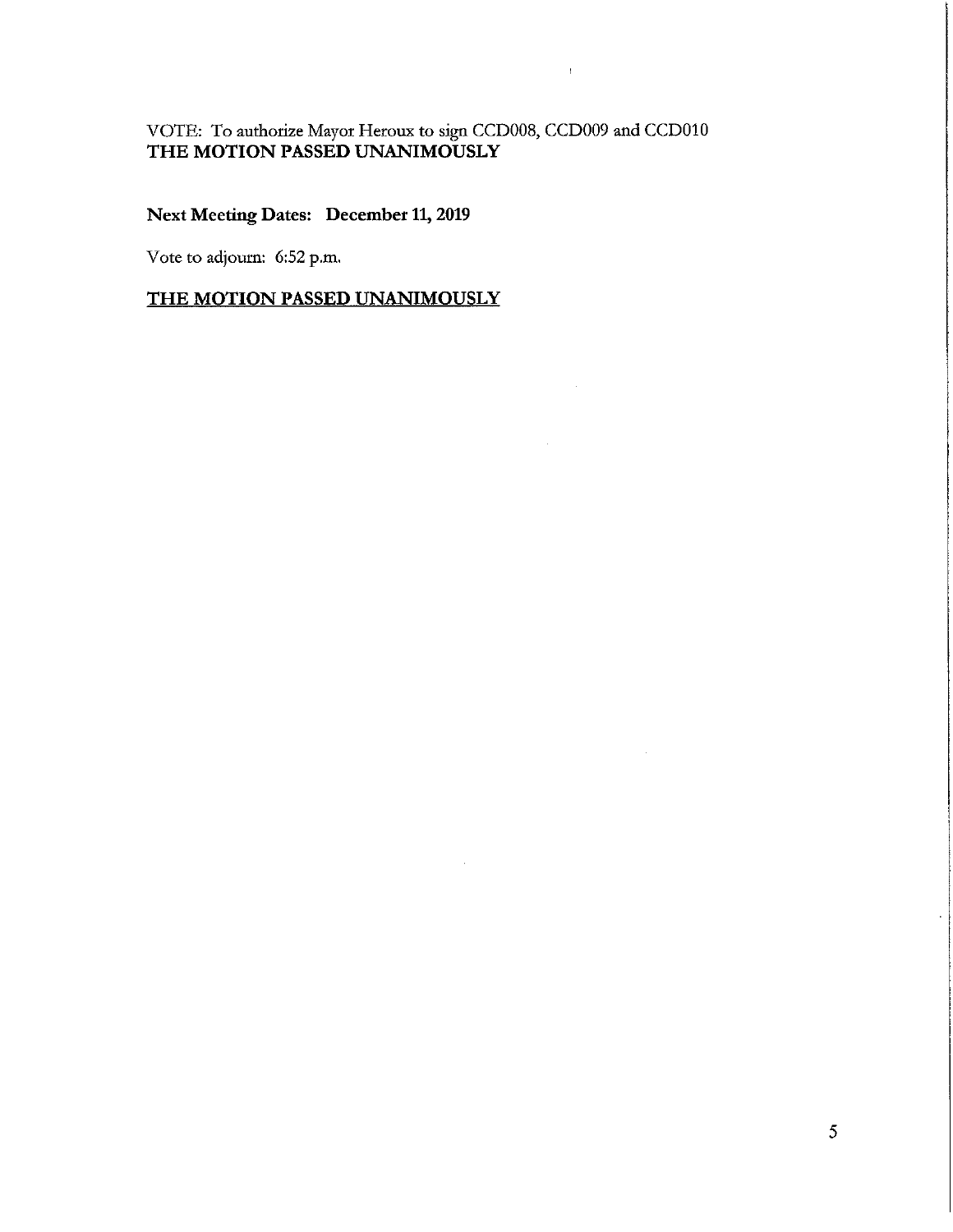# VOTE: To authorize Mayor Heroux to sign CCD008, CCD009 and CCD010<br>THE MOTION PASSED UNANIMOUSLY

 $\mathfrak{f}$ 

#### **Next Meeting Dates: December 11, 2019**

Vote to adjourn: 6:52 p.m.

#### THE MOTION PASSED UNANIMOUSLY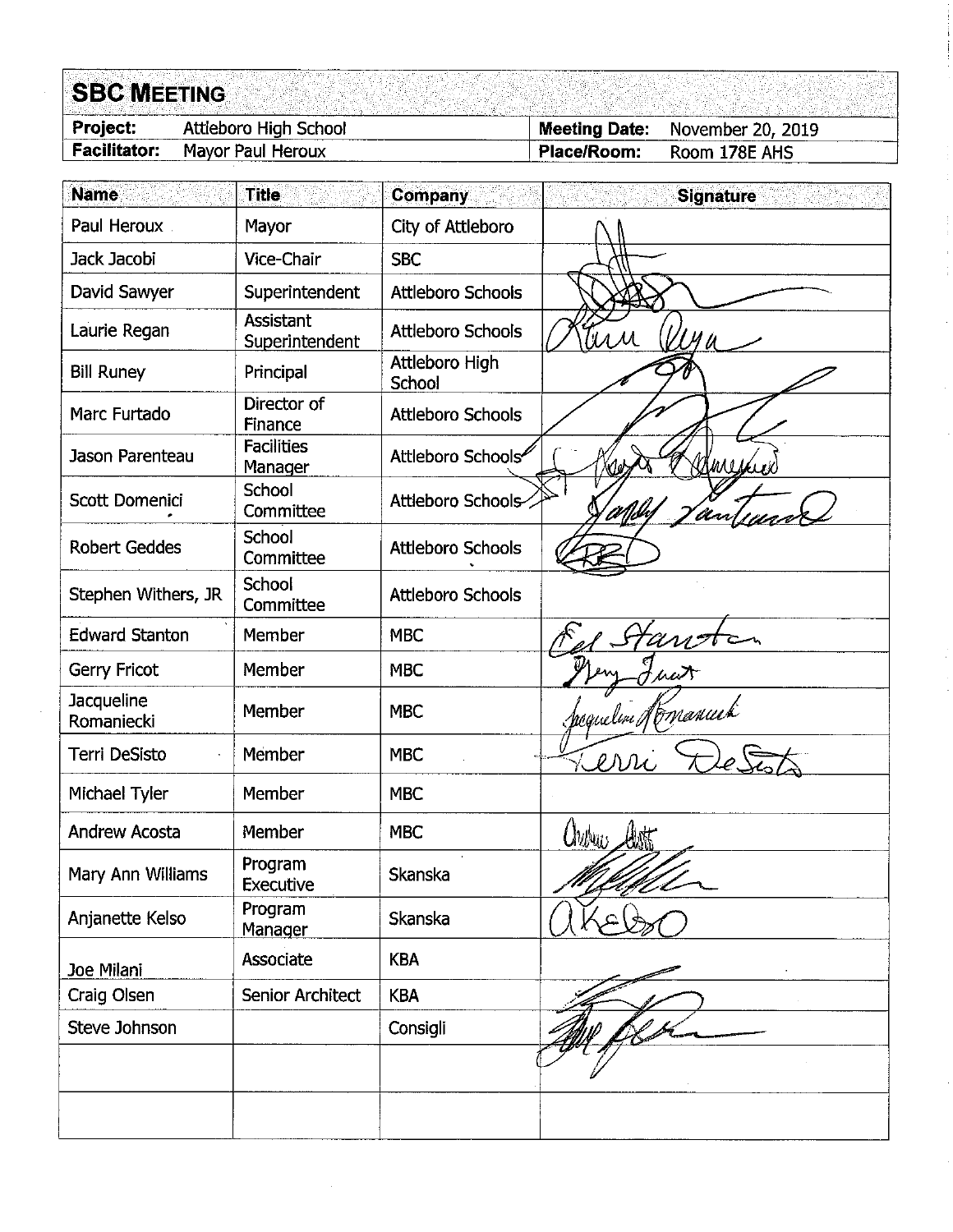## **SBC MEETING**

| <b>Project:</b>     | Attleboro High School | Meeting Date: | November 20, 2019 |
|---------------------|-----------------------|---------------|-------------------|
| <b>Facilitator:</b> | Mavor Paul Heroux     | Place/Room:   | Room 178E AHS     |

| <b>Name</b>              | <b>Title</b>                  | <b>Company</b>           | <b>Signature</b>         |
|--------------------------|-------------------------------|--------------------------|--------------------------|
| Paul Heroux              | Mayor                         | City of Attleboro        |                          |
| Jack Jacobi              | Vice-Chair                    | <b>SBC</b>               |                          |
| David Sawyer             | Superintendent                | Attleboro Schools        |                          |
| Laurie Regan             | Assistant<br>Superintendent   | <b>Attleboro Schools</b> | tirr                     |
| <b>Bill Runey</b>        | Principal                     | Attleboro High<br>School |                          |
| Marc Furtado             | Director of<br><b>Finance</b> | <b>Attleboro Schools</b> |                          |
| Jason Parenteau          | <b>Facilities</b><br>Manager  | Attleboro Schools        | Berreich<br>Yd.          |
| Scott Domenici           | School<br>Committee           | Attleboro Schools-       | <u>' infibin</u><br>'War |
| <b>Robert Geddes</b>     | School<br>Committee           | <b>Attleboro Schools</b> |                          |
| Stephen Withers, JR      | School<br>Committee           | <b>Attleboro Schools</b> |                          |
| <b>Edward Stanton</b>    | Member                        | <b>MBC</b>               |                          |
| Gerry Fricot             | Member                        | <b>MBC</b>               |                          |
| Jacqueline<br>Romaniecki | Member                        | <b>MBC</b>               | reguelen Norvanuek       |
| Terri DeSisto            | Member                        | <b>MBC</b>               | err                      |
| Michael Tyler            | Member                        | <b>MBC</b>               |                          |
| <b>Andrew Acosta</b>     | Member                        | <b>MBC</b>               | $\omega_{w}$             |
| Mary Ann Williams        | Program<br>Executive          | Skanska                  | <u>H</u> l-              |
| Anjanette Kelso          | Program<br>Manager            | Skanska                  |                          |
| Joe Milani               | Associate                     | <b>KBA</b>               |                          |
| Craig Olsen              | <b>Senior Architect</b>       | <b>KBA</b>               |                          |
| Steve Johnson            |                               | Consigli                 |                          |
|                          |                               |                          |                          |
|                          |                               |                          |                          |
|                          |                               |                          |                          |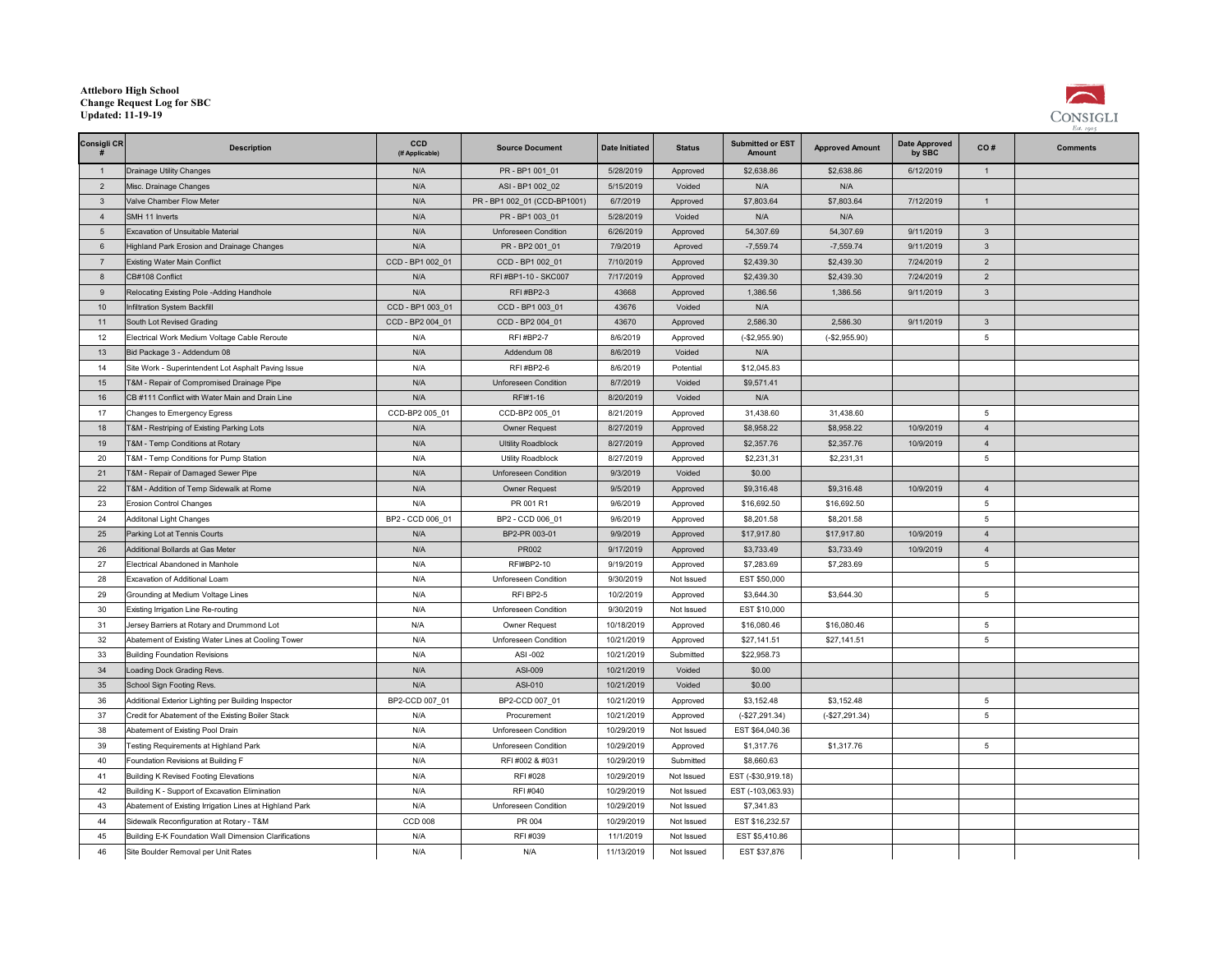#### **Attleboro High School Change Request Log for SBCUpdated: 11-19-19**



| Consigli CR      | <b>Description</b>                                      | CCD<br>(If Applicable) | <b>Source Document</b>       | <b>Date Initiated</b> | <b>Status</b> | <b>Submitted or EST</b><br>Amount | <b>Approved Amount</b> | <b>Date Approved</b><br>by SBC | CO#             | <b>Comments</b> |
|------------------|---------------------------------------------------------|------------------------|------------------------------|-----------------------|---------------|-----------------------------------|------------------------|--------------------------------|-----------------|-----------------|
| $\overline{1}$   | Drainage Utility Changes                                | N/A                    | PR-BP1001 01                 | 5/28/2019             | Approved      | \$2,638.86                        | \$2,638.86             | 6/12/2019                      | $\mathbf{1}$    |                 |
| $\overline{2}$   | Misc. Drainage Changes                                  | N/A                    | ASI - BP1 002 02             | 5/15/2019             | Voided        | N/A                               | N/A                    |                                |                 |                 |
| $\mathbf{3}$     | Valve Chamber Flow Meter                                | N/A                    | PR - BP1 002_01 (CCD-BP1001) | 6/7/2019              | Approved      | \$7,803.64                        | \$7,803.64             | 7/12/2019                      | $\mathbf{1}$    |                 |
| $\overline{4}$   | SMH 11 Inverts                                          | N/A                    | PR - BP1 003 01              | 5/28/2019             | Voided        | N/A                               | N/A                    |                                |                 |                 |
| 5                | Excavation of Unsuitable Material                       | N/A                    | Unforeseen Condition         | 6/26/2019             | Approved      | 54,307.69                         | 54,307.69              | 9/11/2019                      | $\mathbf{3}$    |                 |
| $6\overline{6}$  | Highland Park Erosion and Drainage Changes              | N/A                    | PR - BP2 001_01              | 7/9/2019              | Aproved       | $-7,559.74$                       | $-7,559.74$            | 9/11/2019                      | $\mathbf{3}$    |                 |
| $\overline{7}$   | <b>Existing Water Main Conflict</b>                     | CCD - BP1 002_01       | CCD - BP1 002_01             | 7/10/2019             | Approved      | \$2,439.30                        | \$2,439.30             | 7/24/2019                      | $\overline{2}$  |                 |
| $\boldsymbol{8}$ | CB#108 Conflict                                         | N/A                    | RFI #BP1-10 - SKC007         | 7/17/2019             | Approved      | \$2,439.30                        | \$2,439.30             | 7/24/2019                      | $\overline{2}$  |                 |
| 9                | Relocating Existing Pole -Adding Handhole               | N/A                    | RFI#BP2-3                    | 43668                 | Approved      | 1,386.56                          | 1,386.56               | 9/11/2019                      | $\overline{3}$  |                 |
| 10               | Infiltration System Backfill                            | CCD - BP1 003 01       | CCD - BP1 003 01             | 43676                 | Voided        | N/A                               |                        |                                |                 |                 |
| 11               | South Lot Revised Grading                               | CCD - BP2 004 01       | CCD - BP2 004 01             | 43670                 | Approved      | 2,586.30                          | 2,586.30               | 9/11/2019                      | $\mathbf{3}$    |                 |
| 12               | Electrical Work Medium Voltage Cable Reroute            | N/A                    | <b>RFI#BP2-7</b>             | 8/6/2019              | Approved      | $(-$2,955.90)$                    | $(-$2,955.90)$         |                                | $5\overline{5}$ |                 |
| 13               | Bid Package 3 - Addendum 08                             | N/A                    | Addendum 08                  | 8/6/2019              | Voided        | N/A                               |                        |                                |                 |                 |
| 14               | Site Work - Superintendent Lot Asphalt Paving Issue     | N/A                    | RFI#BP2-6                    | 8/6/2019              | Potential     | \$12,045.83                       |                        |                                |                 |                 |
| 15               | T&M - Repair of Compromised Drainage Pipe               | N/A                    | Unforeseen Condition         | 8/7/2019              | Voided        | \$9,571.41                        |                        |                                |                 |                 |
| 16               | CB #111 Conflict with Water Main and Drain Line         | N/A                    | RFI#1-16                     | 8/20/2019             | Voided        | N/A                               |                        |                                |                 |                 |
| 17               | Changes to Emergency Egress                             | CCD-BP2 005 01         | CCD-BP2 005 01               | 8/21/2019             | Approved      | 31,438.60                         | 31,438.60              |                                | 5               |                 |
| 18               | T&M - Restriping of Existing Parking Lots               | N/A                    | <b>Owner Request</b>         | 8/27/2019             | Approved      | \$8,958.22                        | \$8,958.22             | 10/9/2019                      | $\Delta$        |                 |
| 19               | <b>6M - Temp Conditions at Rotary</b>                   | N/A                    | <b>Ultility Roadblock</b>    | 8/27/2019             | Approved      | \$2,357.76                        | \$2,357.76             | 10/9/2019                      | $\overline{4}$  |                 |
| 20               | T&M - Temp Conditions for Pump Station                  | N/A                    | Utility Roadblock            | 8/27/2019             | Approved      | \$2,231,31                        | \$2,231,31             |                                | $5\phantom{.0}$ |                 |
| 21               | <b>6M - Repair of Damaged Sewer Pipe</b>                | N/A                    | Unforeseen Condition         | 9/3/2019              | Voided        | \$0.00                            |                        |                                |                 |                 |
| 22               | <b>6M - Addition of Temp Sidewalk at Rome</b>           | N/A                    | Owner Request                | 9/5/2019              | Approved      | \$9,316.48                        | \$9,316.48             | 10/9/2019                      | $\overline{4}$  |                 |
| 23               | <b>Erosion Control Changes</b>                          | N/A                    | PR 001 R1                    | 9/6/2019              | Approved      | \$16,692.50                       | \$16,692.50            |                                | 5               |                 |
| 24               | Additonal Light Changes                                 | BP2 - CCD 006 01       | BP2 - CCD 006 01             | 9/6/2019              | Approved      | \$8,201.58                        | \$8,201.58             |                                | 5               |                 |
| 25               | Parking Lot at Tennis Courts                            | N/A                    | BP2-PR 003-01                | 9/9/2019              | Approved      | \$17,917.80                       | \$17,917.80            | 10/9/2019                      | $\overline{4}$  |                 |
| 26               | Additional Bollards at Gas Meter                        | N/A                    | PR002                        | 9/17/2019             | Approved      | \$3,733.49                        | \$3,733.49             | 10/9/2019                      | $\overline{4}$  |                 |
| 27               | Electrical Abandoned in Manhole                         | N/A                    | RFI#BP2-10                   | 9/19/2019             | Approved      | \$7,283.69                        | \$7,283.69             |                                | 5               |                 |
| 28               | Excavation of Additional Loam                           | N/A                    | Unforeseen Condition         | 9/30/2019             | Not Issued    | EST \$50,000                      |                        |                                |                 |                 |
| 29               | Grounding at Medium Voltage Lines                       | N/A                    | RFIBP2-5                     | 10/2/2019             | Approved      | \$3,644.30                        | \$3,644.30             |                                | $5\phantom{.0}$ |                 |
| 30               | Existing Irrigation Line Re-routing                     | N/A                    | Unforeseen Condition         | 9/30/2019             | Not Issued    | EST \$10,000                      |                        |                                |                 |                 |
| 31               | Jersey Barriers at Rotary and Drummond Lot              | N/A                    | Owner Request                | 10/18/2019            | Approved      | \$16,080.46                       | \$16,080.46            |                                | $5\overline{5}$ |                 |
| 32               | Abatement of Existing Water Lines at Cooling Tower      | N/A                    | Unforeseen Condition         | 10/21/2019            | Approved      | \$27,141.51                       | \$27,141.51            |                                | $5\phantom{.0}$ |                 |
| 33               | <b>Building Foundation Revisions</b>                    | N/A                    | ASI-002                      | 10/21/2019            | Submitted     | \$22,958.73                       |                        |                                |                 |                 |
| 34               | Loading Dock Grading Revs.                              | N/A                    | ASI-009                      | 10/21/2019            | Voided        | \$0.00                            |                        |                                |                 |                 |
| 35               | School Sign Footing Revs.                               | N/A                    | ASI-010                      | 10/21/2019            | Voided        | \$0.00                            |                        |                                |                 |                 |
| 36               | Additional Exterior Lighting per Building Inspector     | BP2-CCD 007 01         | BP2-CCD 007 01               | 10/21/2019            | Approved      | \$3,152.48                        | \$3,152.48             |                                | 5               |                 |
| 37               | Credit for Abatement of the Existing Boiler Stack       | N/A                    | Procurement                  | 10/21/2019            | Approved      | $(-$27,291.34)$                   | $(-$27,291.34)$        |                                | 5 <sup>5</sup>  |                 |
| 38               | Abatement of Existing Pool Drain                        | N/A                    | Unforeseen Condition         | 10/29/2019            | Not Issued    | EST \$64,040.36                   |                        |                                |                 |                 |
| 39               | Festing Requirements at Highland Park                   | N/A                    | Unforeseen Condition         | 10/29/2019            | Approved      | \$1,317.76                        | \$1,317.76             |                                | $5\phantom{.0}$ |                 |
| 40               | Foundation Revisions at Building F                      | N/A                    | RFI #002 & #031              | 10/29/2019            | Submitted     | \$8,660.63                        |                        |                                |                 |                 |
| 41               | Building K Revised Footing Elevations                   | N/A                    | RFI #028                     | 10/29/2019            | Not Issued    | EST (-\$30,919.18)                |                        |                                |                 |                 |
| 42               | Building K - Support of Excavation Elimination          | N/A                    | RFI #040                     | 10/29/2019            | Not Issued    | EST (-103,063.93)                 |                        |                                |                 |                 |
| 43               | Abatement of Existing Irrigation Lines at Highland Park | N/A                    | Unforeseen Condition         | 10/29/2019            | Not Issued    | \$7,341.83                        |                        |                                |                 |                 |
| 44               | Sidewalk Reconfiguration at Rotary - T&M                | <b>CCD 008</b>         | PR 004                       | 10/29/2019            | Not Issued    | EST \$16,232.57                   |                        |                                |                 |                 |
| 45               | Building E-K Foundation Wall Dimension Clarifications   | N/A                    | RFI #039                     | 11/1/2019             | Not Issued    | EST \$5,410.86                    |                        |                                |                 |                 |
| 46               | Site Boulder Removal per Unit Rates                     | N/A                    | N/A                          | 11/13/2019            | Not Issued    | EST \$37,876                      |                        |                                |                 |                 |
|                  |                                                         |                        |                              |                       |               |                                   |                        |                                |                 |                 |